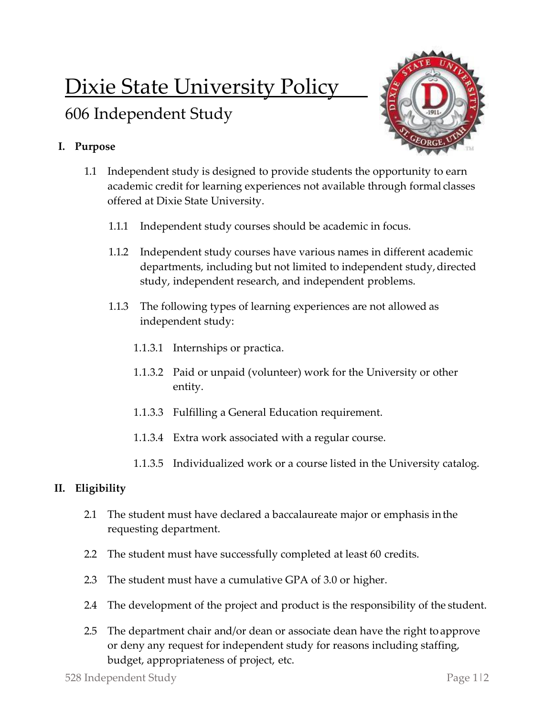# Dixie State University Policy

# 606 Independent Study

## **I. Purpose**



- 1.1 Independent study is designed to provide students the opportunity to earn academic credit for learning experiences not available through formal classes offered at Dixie State University.
	- 1.1.1 Independent study courses should be academic in focus.
	- 1.1.2 Independent study courses have various names in different academic departments, including but not limited to independent study, directed study, independent research, and independent problems.
	- 1.1.3 The following types of learning experiences are not allowed as independent study:
		- 1.1.3.1 Internships or practica.
		- 1.1.3.2 Paid or unpaid (volunteer) work for the University or other entity.
		- 1.1.3.3 Fulfilling a General Education requirement.
		- 1.1.3.4 Extra work associated with a regular course.
		- 1.1.3.5 Individualized work or a course listed in the University catalog.

### **II. Eligibility**

- 2.1 The student must have declared a baccalaureate major or emphasis inthe requesting department.
- 2.2 The student must have successfully completed at least 60 credits.
- 2.3 The student must have a cumulative GPA of 3.0 or higher.
- 2.4 The development of the project and product is the responsibility of the student.
- 2.5 The department chair and/or dean or associate dean have the right to approve or deny any request for independent study for reasons including staffing, budget, appropriateness of project, etc.